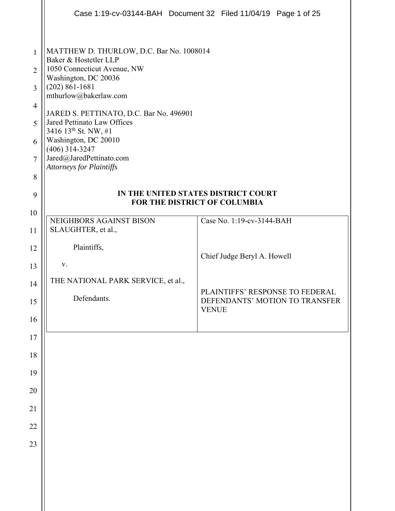|                                                                                             |                                                                                                                                                                                                                                                                                                                                                                                           | Case 1:19-cv-03144-BAH Document 32 Filed 11/04/19 Page 1 of 25 |
|---------------------------------------------------------------------------------------------|-------------------------------------------------------------------------------------------------------------------------------------------------------------------------------------------------------------------------------------------------------------------------------------------------------------------------------------------------------------------------------------------|----------------------------------------------------------------|
| $\mathbf{1}$<br>$\overline{2}$<br>3<br>$\overline{4}$<br>5<br>6<br>$\overline{7}$<br>8<br>9 | MATTHEW D. THURLOW, D.C. Bar No. 1008014<br>Baker & Hostetler LLP<br>1050 Connecticut Avenue, NW<br>Washington, DC 20036<br>$(202) 861 - 1681$<br>mthurlow@bakerlaw.com<br>JARED S. PETTINATO, D.C. Bar No. 496901<br>Jared Pettinato Law Offices<br>3416 13 <sup>th</sup> St. NW, #1<br>Washington, DC 20010<br>$(406)$ 314-3247<br>Jared@JaredPettinato.com<br>Attorneys for Plaintiffs | IN THE UNITED STATES DISTRICT COURT                            |
| 10                                                                                          |                                                                                                                                                                                                                                                                                                                                                                                           | FOR THE DISTRICT OF COLUMBIA                                   |
| 11                                                                                          | NEIGHBORS AGAINST BISON<br>SLAUGHTER, et al.,                                                                                                                                                                                                                                                                                                                                             | Case No. 1:19-cv-3144-BAH                                      |
| 12                                                                                          | Plaintiffs,                                                                                                                                                                                                                                                                                                                                                                               | Chief Judge Beryl A. Howell                                    |
| 13                                                                                          | V.                                                                                                                                                                                                                                                                                                                                                                                        |                                                                |
| 14                                                                                          | THE NATIONAL PARK SERVICE, et al.,                                                                                                                                                                                                                                                                                                                                                        | PLAINTIFFS' RESPONSE TO FEDERAL                                |
| 15                                                                                          | Defendants.                                                                                                                                                                                                                                                                                                                                                                               | DEFENDANTS' MOTION TO TRANSFER<br><b>VENUE</b>                 |
| 16                                                                                          |                                                                                                                                                                                                                                                                                                                                                                                           |                                                                |
| 17                                                                                          |                                                                                                                                                                                                                                                                                                                                                                                           |                                                                |
| 18                                                                                          |                                                                                                                                                                                                                                                                                                                                                                                           |                                                                |
| 19                                                                                          |                                                                                                                                                                                                                                                                                                                                                                                           |                                                                |
| 20<br>21                                                                                    |                                                                                                                                                                                                                                                                                                                                                                                           |                                                                |
| 22                                                                                          |                                                                                                                                                                                                                                                                                                                                                                                           |                                                                |
| 23                                                                                          |                                                                                                                                                                                                                                                                                                                                                                                           |                                                                |
|                                                                                             |                                                                                                                                                                                                                                                                                                                                                                                           |                                                                |
|                                                                                             |                                                                                                                                                                                                                                                                                                                                                                                           |                                                                |
|                                                                                             |                                                                                                                                                                                                                                                                                                                                                                                           |                                                                |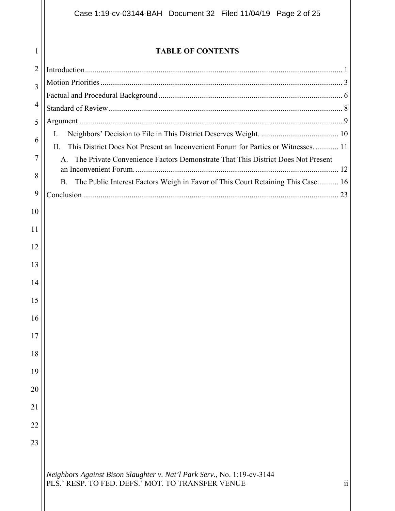**TABLE OF CONTENTS** 

| $\overline{2}$ |                                                                                                                                                 |
|----------------|-------------------------------------------------------------------------------------------------------------------------------------------------|
| 3              |                                                                                                                                                 |
|                |                                                                                                                                                 |
| $\overline{4}$ |                                                                                                                                                 |
| 5              |                                                                                                                                                 |
| 6              | Ι.                                                                                                                                              |
|                | This District Does Not Present an Inconvenient Forum for Parties or Witnesses 11<br>Π.                                                          |
| 7              | The Private Convenience Factors Demonstrate That This District Does Not Present<br>$\mathsf{A}$ .                                               |
| 8              | The Public Interest Factors Weigh in Favor of This Court Retaining This Case 16<br><b>B.</b>                                                    |
| 9              |                                                                                                                                                 |
| 10             |                                                                                                                                                 |
|                |                                                                                                                                                 |
| 11             |                                                                                                                                                 |
| 12             |                                                                                                                                                 |
| 13             |                                                                                                                                                 |
| 14             |                                                                                                                                                 |
|                |                                                                                                                                                 |
| 15             |                                                                                                                                                 |
| 16             |                                                                                                                                                 |
| 17             |                                                                                                                                                 |
|                |                                                                                                                                                 |
| 18             |                                                                                                                                                 |
| 19             |                                                                                                                                                 |
| 20             |                                                                                                                                                 |
| 21             |                                                                                                                                                 |
|                |                                                                                                                                                 |
| 22             |                                                                                                                                                 |
| 23             |                                                                                                                                                 |
|                |                                                                                                                                                 |
|                | Neighbors Against Bison Slaughter v. Nat'l Park Serv., No. 1:19-cv-3144<br>$\ddot{\rm ii}$<br>PLS.' RESP. TO FED. DEFS.' MOT. TO TRANSFER VENUE |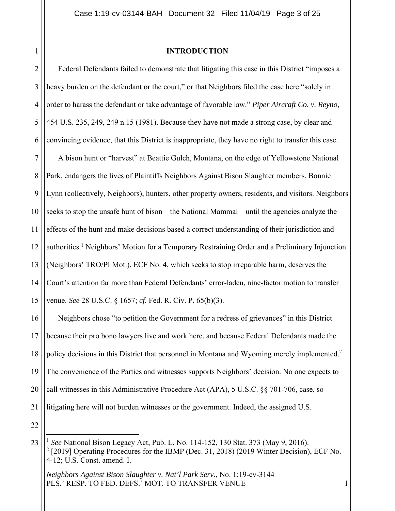1

### **INTRODUCTION**

2 3 4 5 6 7 8 9 10 11 12 13 14 15 Federal Defendants failed to demonstrate that litigating this case in this District "imposes a heavy burden on the defendant or the court," or that Neighbors filed the case here "solely in order to harass the defendant or take advantage of favorable law." *Piper Aircraft Co. v. Reyno*, 454 U.S. 235, 249, 249 n.15 (1981). Because they have not made a strong case, by clear and convincing evidence, that this District is inappropriate, they have no right to transfer this case. A bison hunt or "harvest" at Beattie Gulch, Montana, on the edge of Yellowstone National Park, endangers the lives of Plaintiffs Neighbors Against Bison Slaughter members, Bonnie Lynn (collectively, Neighbors), hunters, other property owners, residents, and visitors. Neighbors seeks to stop the unsafe hunt of bison—the National Mammal—until the agencies analyze the effects of the hunt and make decisions based a correct understanding of their jurisdiction and authorities.<sup>1</sup> Neighbors' Motion for a Temporary Restraining Order and a Preliminary Injunction (Neighbors' TRO/PI Mot.), ECF No. 4, which seeks to stop irreparable harm, deserves the Court's attention far more than Federal Defendants' error-laden, nine-factor motion to transfer venue. *See* 28 U.S.C. § 1657; *cf.* Fed. R. Civ. P. 65(b)(3).

16 17 18 19 20 21 Neighbors chose "to petition the Government for a redress of grievances" in this District because their pro bono lawyers live and work here, and because Federal Defendants made the policy decisions in this District that personnel in Montana and Wyoming merely implemented.<sup>2</sup> The convenience of the Parties and witnesses supports Neighbors' decision. No one expects to call witnesses in this Administrative Procedure Act (APA), 5 U.S.C. §§ 701-706, case, so litigating here will not burden witnesses or the government. Indeed, the assigned U.S.

<sup>23</sup> <sup>1</sup> *See* National Bison Legacy Act, Pub. L. No. 114-152, 130 Stat. 373 (May 9, 2016). <sup>2</sup> [2019] Operating Procedures for the IBMP (Dec. 31, 2018) (2019 Winter Decision), ECF No. 4-12; U.S. Const. amend. I.

*Neighbors Against Bison Slaughter v. Nat'l Park Serv.*, No. 1:19-cv-3144 PLS.' RESP. TO FED. DEFS.' MOT. TO TRANSFER VENUE 1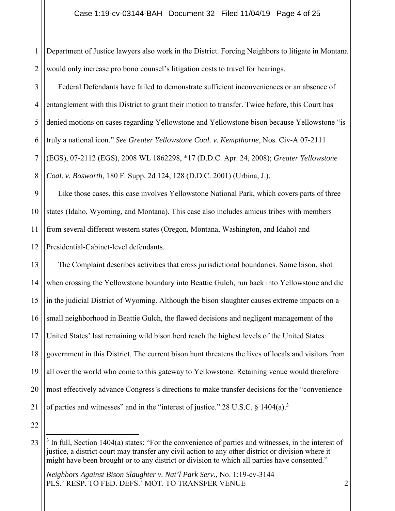1 2 Department of Justice lawyers also work in the District. Forcing Neighbors to litigate in Montana would only increase pro bono counsel's litigation costs to travel for hearings.

3 4 5 6 7 8 Federal Defendants have failed to demonstrate sufficient inconveniences or an absence of entanglement with this District to grant their motion to transfer. Twice before, this Court has denied motions on cases regarding Yellowstone and Yellowstone bison because Yellowstone "is truly a national icon." *See Greater Yellowstone Coal. v. Kempthorne*, Nos. Civ-A 07-2111 (EGS), 07-2112 (EGS), 2008 WL 1862298, \*17 (D.D.C. Apr. 24, 2008); *Greater Yellowstone Coal. v. Bosworth*, 180 F. Supp. 2d 124, 128 (D.D.C. 2001) (Urbina, J.).

9 10 11 12 Like those cases, this case involves Yellowstone National Park, which covers parts of three states (Idaho, Wyoming, and Montana). This case also includes amicus tribes with members from several different western states (Oregon, Montana, Washington, and Idaho) and Presidential-Cabinet-level defendants.

13 14 15 16 17 18 19 20 21 The Complaint describes activities that cross jurisdictional boundaries. Some bison, shot when crossing the Yellowstone boundary into Beattie Gulch, run back into Yellowstone and die in the judicial District of Wyoming. Although the bison slaughter causes extreme impacts on a small neighborhood in Beattie Gulch, the flawed decisions and negligent management of the United States' last remaining wild bison herd reach the highest levels of the United States government in this District. The current bison hunt threatens the lives of locals and visitors from all over the world who come to this gateway to Yellowstone. Retaining venue would therefore most effectively advance Congress's directions to make transfer decisions for the "convenience of parties and witnesses" and in the "interest of justice." 28 U.S.C.  $\S$  1404(a).<sup>3</sup>

<sup>23</sup>  $3$  In full, Section 1404(a) states: "For the convenience of parties and witnesses, in the interest of justice, a district court may transfer any civil action to any other district or division where it might have been brought or to any district or division to which all parties have consented."

*Neighbors Against Bison Slaughter v. Nat'l Park Serv.*, No. 1:19-cv-3144 PLS.' RESP. TO FED. DEFS.' MOT. TO TRANSFER VENUE 2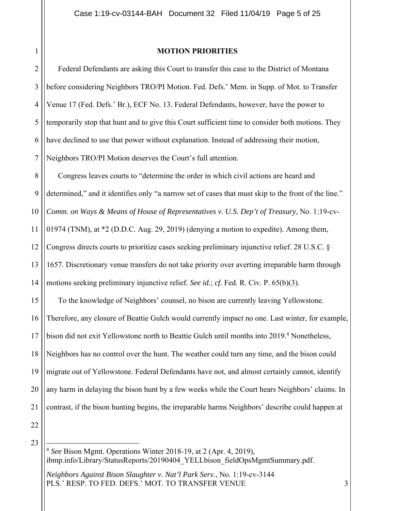## **MOTION PRIORITIES**

2 3 4 5 6 7 Federal Defendants are asking this Court to transfer this case to the District of Montana before considering Neighbors TRO/PI Motion. Fed. Defs.' Mem. in Supp. of Mot. to Transfer Venue 17 (Fed. Defs.' Br.), ECF No. 13. Federal Defendants, however, have the power to temporarily stop that hunt and to give this Court sufficient time to consider both motions. They have declined to use that power without explanation. Instead of addressing their motion, Neighbors TRO/PI Motion deserves the Court's full attention.

8 9 10 11 12 13 14 15 16 17 18 19 20 Congress leaves courts to "determine the order in which civil actions are heard and determined," and it identifies only "a narrow set of cases that must skip to the front of the line." *Comm. on Ways & Means of House of Representatives v. U.S. Dep't of Treasury*, No. 1:19-cv-01974 (TNM), at \*2 (D.D.C. Aug. 29, 2019) (denying a motion to expedite). Among them, Congress directs courts to prioritize cases seeking preliminary injunctive relief. 28 U.S.C. § 1657. Discretionary venue transfers do not take priority over averting irreparable harm through motions seeking preliminary injunctive relief. *See id.*; *cf.* Fed. R. Civ. P. 65(b)(3). To the knowledge of Neighbors' counsel, no bison are currently leaving Yellowstone. Therefore, any closure of Beattie Gulch would currently impact no one. Last winter, for example, bison did not exit Yellowstone north to Beattie Gulch until months into 2019.<sup>4</sup> Nonetheless, Neighbors has no control over the hunt. The weather could turn any time, and the bison could migrate out of Yellowstone. Federal Defendants have not, and almost certainly cannot, identify any harm in delaying the bison hunt by a few weeks while the Court hears Neighbors' claims. In

22 23

21

<sup>4</sup> *See* Bison Mgmt. Operations Winter 2018-19, at 2 (Apr. 4, 2019), ibmp.info/Library/StatusReports/20190404 YELLbison fieldOpsMgmtSummary.pdf.

contrast, if the bison hunting begins, the irreparable harms Neighbors' describe could happen at

*Neighbors Against Bison Slaughter v. Nat'l Park Serv.*, No. 1:19-cv-3144 PLS.' RESP. TO FED. DEFS.' MOT. TO TRANSFER VENUE 3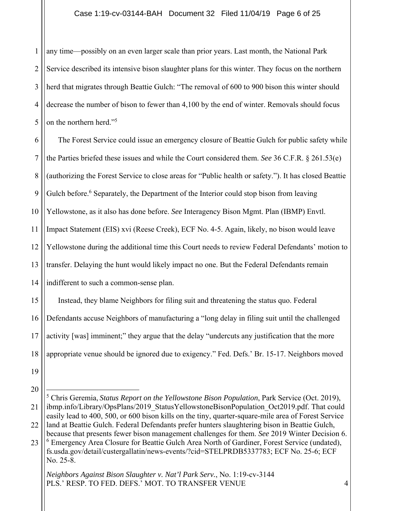1 2 3 4 5 any time—possibly on an even larger scale than prior years. Last month, the National Park Service described its intensive bison slaughter plans for this winter. They focus on the northern herd that migrates through Beattie Gulch: "The removal of 600 to 900 bison this winter should decrease the number of bison to fewer than 4,100 by the end of winter. Removals should focus on the northern herd."<sup>5</sup>

6 7 8 9 10 11 12 13 14 The Forest Service could issue an emergency closure of Beattie Gulch for public safety while the Parties briefed these issues and while the Court considered them. *See* 36 C.F.R. § 261.53(e) (authorizing the Forest Service to close areas for "Public health or safety."). It has closed Beattie Gulch before.<sup>6</sup> Separately, the Department of the Interior could stop bison from leaving Yellowstone, as it also has done before. *See* Interagency Bison Mgmt. Plan (IBMP) Envtl. Impact Statement (EIS) xvi (Reese Creek), ECF No. 4-5. Again, likely, no bison would leave Yellowstone during the additional time this Court needs to review Federal Defendants' motion to transfer. Delaying the hunt would likely impact no one. But the Federal Defendants remain indifferent to such a common-sense plan.

15 16 17 18 Instead, they blame Neighbors for filing suit and threatening the status quo. Federal Defendants accuse Neighbors of manufacturing a "long delay in filing suit until the challenged activity [was] imminent;" they argue that the delay "undercuts any justification that the more appropriate venue should be ignored due to exigency." Fed. Defs.' Br. 15-17. Neighbors moved

- 19
- 20

<sup>21</sup> 22 5 Chris Geremia, *Status Report on the Yellowstone Bison Population*, Park Service (Oct. 2019), ibmp.info/Library/OpsPlans/2019 StatusYellowstoneBisonPopulation Oct2019.pdf. That could easily lead to 400, 500, or 600 bison kills on the tiny, quarter-square-mile area of Forest Service land at Beattie Gulch. Federal Defendants prefer hunters slaughtering bison in Beattie Gulch, because that presents fewer bison management challenges for them. *See* 2019 Winter Decision 6.

<sup>23</sup> <sup>6</sup> Emergency Area Closure for Beattie Gulch Area North of Gardiner, Forest Service (undated), fs.usda.gov/detail/custergallatin/news-events/?cid=STELPRDB5337783; ECF No. 25-6; ECF No. 25-8.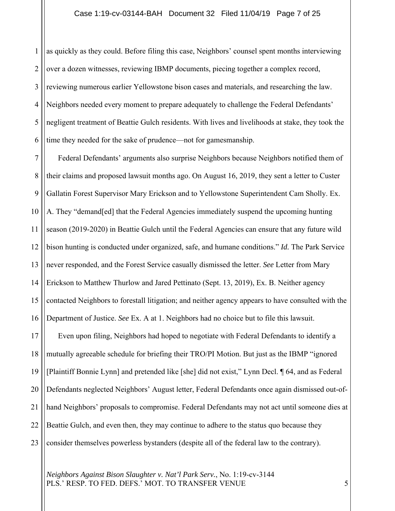1 2 3 4 5 6 as quickly as they could. Before filing this case, Neighbors' counsel spent months interviewing over a dozen witnesses, reviewing IBMP documents, piecing together a complex record, reviewing numerous earlier Yellowstone bison cases and materials, and researching the law. Neighbors needed every moment to prepare adequately to challenge the Federal Defendants' negligent treatment of Beattie Gulch residents. With lives and livelihoods at stake, they took the time they needed for the sake of prudence—not for gamesmanship.

7 8 9 10 11 12 13 14 15 16 17 18 19 20 21 22 23 Federal Defendants' arguments also surprise Neighbors because Neighbors notified them of their claims and proposed lawsuit months ago. On August 16, 2019, they sent a letter to Custer Gallatin Forest Supervisor Mary Erickson and to Yellowstone Superintendent Cam Sholly. Ex. A. They "demand[ed] that the Federal Agencies immediately suspend the upcoming hunting season (2019-2020) in Beattie Gulch until the Federal Agencies can ensure that any future wild bison hunting is conducted under organized, safe, and humane conditions." *Id.* The Park Service never responded, and the Forest Service casually dismissed the letter. *See* Letter from Mary Erickson to Matthew Thurlow and Jared Pettinato (Sept. 13, 2019), Ex. B. Neither agency contacted Neighbors to forestall litigation; and neither agency appears to have consulted with the Department of Justice. *See* Ex. A at 1. Neighbors had no choice but to file this lawsuit. Even upon filing, Neighbors had hoped to negotiate with Federal Defendants to identify a mutually agreeable schedule for briefing their TRO/PI Motion. But just as the IBMP "ignored [Plaintiff Bonnie Lynn] and pretended like [she] did not exist," Lynn Decl. ¶ 64, and as Federal Defendants neglected Neighbors' August letter, Federal Defendants once again dismissed out-ofhand Neighbors' proposals to compromise. Federal Defendants may not act until someone dies at Beattie Gulch, and even then, they may continue to adhere to the status quo because they consider themselves powerless bystanders (despite all of the federal law to the contrary).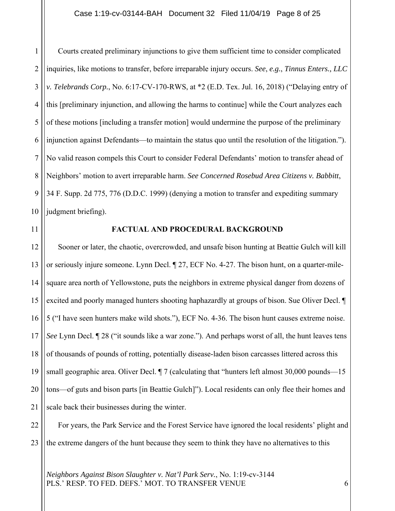## Case 1:19-cv-03144-BAH Document 32 Filed 11/04/19 Page 8 of 25

1 2 3 4 5 6 7 8 9 10 Courts created preliminary injunctions to give them sufficient time to consider complicated inquiries, like motions to transfer, before irreparable injury occurs. *See*, *e.g.*, *Tinnus Enters., LLC v. Telebrands Corp.*, No. 6:17-CV-170-RWS, at \*2 (E.D. Tex. Jul. 16, 2018) ("Delaying entry of this [preliminary injunction, and allowing the harms to continue] while the Court analyzes each of these motions [including a transfer motion] would undermine the purpose of the preliminary injunction against Defendants—to maintain the status quo until the resolution of the litigation."). No valid reason compels this Court to consider Federal Defendants' motion to transfer ahead of Neighbors' motion to avert irreparable harm. *See Concerned Rosebud Area Citizens v. Babbitt*, 34 F. Supp. 2d 775, 776 (D.D.C. 1999) (denying a motion to transfer and expediting summary judgment briefing).

11

## **FACTUAL AND PROCEDURAL BACKGROUND**

12 13 14 15 16 17 18 19 20 21 Sooner or later, the chaotic, overcrowded, and unsafe bison hunting at Beattie Gulch will kill or seriously injure someone. Lynn Decl. ¶ 27, ECF No. 4-27. The bison hunt, on a quarter-milesquare area north of Yellowstone, puts the neighbors in extreme physical danger from dozens of excited and poorly managed hunters shooting haphazardly at groups of bison. Sue Oliver Decl. ¶ 5 ("I have seen hunters make wild shots."), ECF No. 4-36. The bison hunt causes extreme noise. *See* Lynn Decl. ¶ 28 ("it sounds like a war zone."). And perhaps worst of all, the hunt leaves tens of thousands of pounds of rotting, potentially disease-laden bison carcasses littered across this small geographic area. Oliver Decl.  $\P$  7 (calculating that "hunters left almost 30,000 pounds—15 tons—of guts and bison parts [in Beattie Gulch]"). Local residents can only flee their homes and scale back their businesses during the winter.

22 23 For years, the Park Service and the Forest Service have ignored the local residents' plight and the extreme dangers of the hunt because they seem to think they have no alternatives to this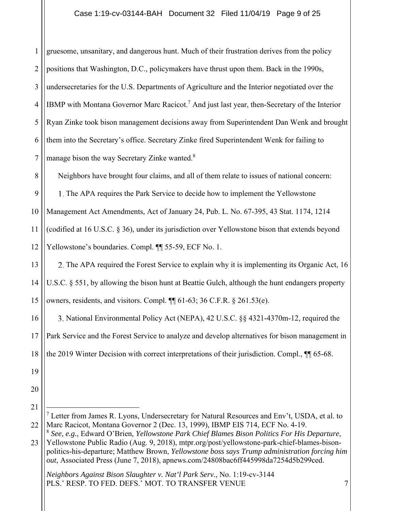## Case 1:19-cv-03144-BAH Document 32 Filed 11/04/19 Page 9 of 25

| $\mathbf{1}$   | gruesome, unsanitary, and dangerous hunt. Much of their frustration derives from the policy                                                                                 |
|----------------|-----------------------------------------------------------------------------------------------------------------------------------------------------------------------------|
| $\overline{2}$ | positions that Washington, D.C., policymakers have thrust upon them. Back in the 1990s,                                                                                     |
| 3              | undersecretaries for the U.S. Departments of Agriculture and the Interior negotiated over the                                                                               |
| $\overline{4}$ | IBMP with Montana Governor Marc Racicot. <sup>7</sup> And just last year, then-Secretary of the Interior                                                                    |
| 5              | Ryan Zinke took bison management decisions away from Superintendent Dan Wenk and brought                                                                                    |
| 6              | them into the Secretary's office. Secretary Zinke fired Superintendent Wenk for failing to                                                                                  |
| $\overline{7}$ | manage bison the way Secretary Zinke wanted. <sup>8</sup>                                                                                                                   |
| 8              | Neighbors have brought four claims, and all of them relate to issues of national concern:                                                                                   |
| 9              | 1. The APA requires the Park Service to decide how to implement the Yellowstone                                                                                             |
| 10             | Management Act Amendments, Act of January 24, Pub. L. No. 67-395, 43 Stat. 1174, 1214                                                                                       |
| 11             | (codified at 16 U.S.C. § 36), under its jurisdiction over Yellowstone bison that extends beyond                                                                             |
| 12             | Yellowstone's boundaries. Compl. ¶ 55-59, ECF No. 1.                                                                                                                        |
| 13             | 2. The APA required the Forest Service to explain why it is implementing its Organic Act, 16                                                                                |
| 14             | U.S.C. § 551, by allowing the bison hunt at Beattie Gulch, although the hunt endangers property                                                                             |
| 15             | owners, residents, and visitors. Compl. ¶ 61-63; 36 C.F.R. § 261.53(e).                                                                                                     |
| 16             | 3. National Environmental Policy Act (NEPA), 42 U.S.C. §§ 4321-4370m-12, required the                                                                                       |
| 17             | Park Service and the Forest Service to analyze and develop alternatives for bison management in                                                                             |
| 18             | the 2019 Winter Decision with correct interpretations of their jurisdiction. Compl., $\P$ 65-68.                                                                            |
| 19             |                                                                                                                                                                             |
| 20             |                                                                                                                                                                             |
| 21             | $^7$ Letter from James R. Lyons, Undersecretary for Natural Resources and Env't, USDA, et al. to                                                                            |
| 22             | Marc Racicot, Montana Governor 2 (Dec. 13, 1999), IBMP EIS 714, ECF No. 4-19.<br>See, e.g., Edward O'Brien, Yellowstone Park Chief Blames Bison Politics For His Departure, |

23 Yellowstone Public Radio (Aug. 9, 2018), mtpr.org/post/yellowstone-park-chief-blames-bisonpolitics-his-departure; Matthew Brown, *Yellowstone boss says Trump administration forcing him out*, Associated Press (June 7, 2018), apnews.com/24808bac6ff445998da7254d5b299ced.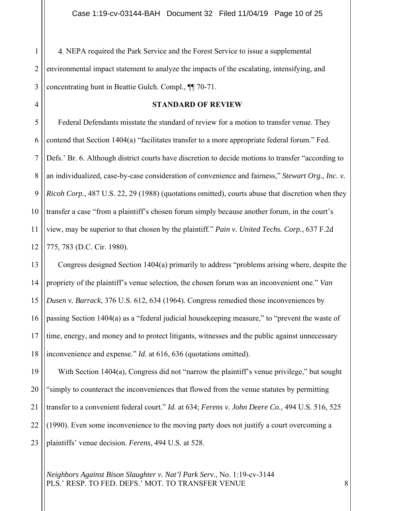1 2 3 NEPA required the Park Service and the Forest Service to issue a supplemental environmental impact statement to analyze the impacts of the escalating, intensifying, and concentrating hunt in Beattie Gulch. Compl., ¶¶ 70-71.

4

### **STANDARD OF REVIEW**

5 6 7 8 9 10 11 12 Federal Defendants misstate the standard of review for a motion to transfer venue. They contend that Section 1404(a) "facilitates transfer to a more appropriate federal forum." Fed. Defs.' Br. 6. Although district courts have discretion to decide motions to transfer "according to an individualized, case-by-case consideration of convenience and fairness," *Stewart Org., Inc. v. Ricoh Corp.*, 487 U.S. 22, 29 (1988) (quotations omitted), courts abuse that discretion when they transfer a case "from a plaintiff's chosen forum simply because another forum, in the court's view, may be superior to that chosen by the plaintiff." *Pain v. United Techs. Corp.*, 637 F.2d 775, 783 (D.C. Cir. 1980).

13 14 15 16 17 18 Congress designed Section 1404(a) primarily to address "problems arising where, despite the propriety of the plaintiff's venue selection, the chosen forum was an inconvenient one." *Van Dusen v. Barrack*, 376 U.S. 612, 634 (1964). Congress remedied those inconveniences by passing Section 1404(a) as a "federal judicial housekeeping measure," to "prevent the waste of time, energy, and money and to protect litigants, witnesses and the public against unnecessary inconvenience and expense." *Id.* at 616, 636 (quotations omitted).

19 20 21 22 23 With Section 1404(a), Congress did not "narrow the plaintiff's venue privilege," but sought "simply to counteract the inconveniences that flowed from the venue statutes by permitting transfer to a convenient federal court." *Id.* at 634; *Ferens v. John Deere Co.*, 494 U.S. 516, 525 (1990). Even some inconvenience to the moving party does not justify a court overcoming a plaintiffs' venue decision. *Ferens*, 494 U.S. at 528.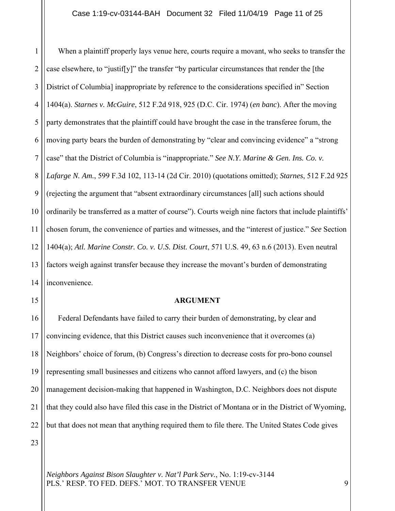1 2 3 4 5 6 7 8 9 10 11 12 13 14 When a plaintiff properly lays venue here, courts require a movant, who seeks to transfer the case elsewhere, to "justif[y]" the transfer "by particular circumstances that render the [the District of Columbia] inappropriate by reference to the considerations specified in" Section 1404(a). *Starnes v. McGuire*, 512 F.2d 918, 925 (D.C. Cir. 1974) (*en banc*). After the moving party demonstrates that the plaintiff could have brought the case in the transferee forum, the moving party bears the burden of demonstrating by "clear and convincing evidence" a "strong case" that the District of Columbia is "inappropriate." *See N.Y. Marine & Gen. Ins. Co. v. Lafarge N. Am.*, 599 F.3d 102, 113-14 (2d Cir. 2010) (quotations omitted); *Starnes*, 512 F.2d 925 (rejecting the argument that "absent extraordinary circumstances [all] such actions should ordinarily be transferred as a matter of course"). Courts weigh nine factors that include plaintiffs' chosen forum, the convenience of parties and witnesses, and the "interest of justice." *See* Section 1404(a); *Atl. Marine Constr. Co. v. U.S. Dist. Court*, 571 U.S. 49, 63 n.6 (2013). Even neutral factors weigh against transfer because they increase the movant's burden of demonstrating inconvenience.

15

### **ARGUMENT**

16 17 18 19 20 21 22 Federal Defendants have failed to carry their burden of demonstrating, by clear and convincing evidence, that this District causes such inconvenience that it overcomes (a) Neighbors' choice of forum, (b) Congress's direction to decrease costs for pro-bono counsel representing small businesses and citizens who cannot afford lawyers, and (c) the bison management decision-making that happened in Washington, D.C. Neighbors does not dispute that they could also have filed this case in the District of Montana or in the District of Wyoming, but that does not mean that anything required them to file there. The United States Code gives

23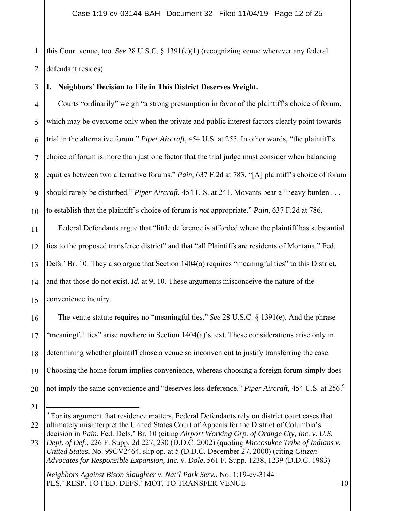1 2 this Court venue, too. *See* 28 U.S.C. § 1391(e)(1) (recognizing venue wherever any federal defendant resides).

#### 3 **I. Neighbors' Decision to File in This District Deserves Weight.**

4 5 6 7 8  $\overline{Q}$ 10 Courts "ordinarily" weigh "a strong presumption in favor of the plaintiff's choice of forum, which may be overcome only when the private and public interest factors clearly point towards trial in the alternative forum." *Piper Aircraft*, 454 U.S. at 255. In other words, "the plaintiff's choice of forum is more than just one factor that the trial judge must consider when balancing equities between two alternative forums." *Pain*, 637 F.2d at 783. "[A] plaintiff's choice of forum should rarely be disturbed." *Piper Aircraft*, 454 U.S. at 241. Movants bear a "heavy burden . . . to establish that the plaintiff's choice of forum is *not* appropriate." *Pain*, 637 F.2d at 786. Federal Defendants argue that "little deference is afforded where the plaintiff has substantial

11 12 13 14 15 ties to the proposed transferee district" and that "all Plaintiffs are residents of Montana." Fed. Defs.' Br. 10. They also argue that Section 1404(a) requires "meaningful ties" to this District, and that those do not exist. *Id.* at 9, 10. These arguments misconceive the nature of the convenience inquiry.

16 17 18 19 20 The venue statute requires no "meaningful ties." *See* 28 U.S.C. § 1391(e). And the phrase "meaningful ties" arise nowhere in Section 1404(a)'s text. These considerations arise only in determining whether plaintiff chose a venue so inconvenient to justify transferring the case. Choosing the home forum implies convenience, whereas choosing a foreign forum simply does not imply the same convenience and "deserves less deference." *Piper Aircraft*, 454 U.S. at 256.<sup>9</sup>

<sup>21</sup>

<sup>22</sup> <sup>9</sup> For its argument that residence matters, Federal Defendants rely on district court cases that ultimately misinterpret the United States Court of Appeals for the District of Columbia's decision in *Pain*. Fed. Defs.' Br. 10 (citing *Airport Working Grp. of Orange Cty, Inc. v. U.S.* 

<sup>23</sup> *Dept. of Def.*, 226 F. Supp. 2d 227, 230 (D.D.C. 2002) (quoting *Miccosukee Tribe of Indians v. United States*, No. 99CV2464, slip op. at 5 (D.D.C. December 27, 2000) (citing *Citizen Advocates for Responsible Expansion, Inc. v. Dole*, 561 F. Supp. 1238, 1239 (D.D.C. 1983)

*Neighbors Against Bison Slaughter v. Nat'l Park Serv.*, No. 1:19-cv-3144 PLS.' RESP. TO FED. DEFS.' MOT. TO TRANSFER VENUE 10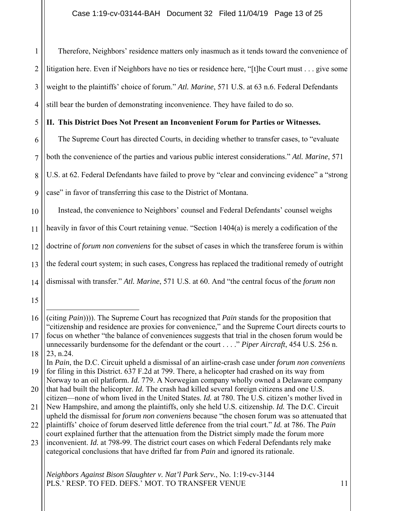1 2 3 4 Therefore, Neighbors' residence matters only inasmuch as it tends toward the convenience of litigation here. Even if Neighbors have no ties or residence here, "[t]he Court must . . . give some weight to the plaintiffs' choice of forum." *Atl. Marine*, 571 U.S. at 63 n.6. Federal Defendants still bear the burden of demonstrating inconvenience. They have failed to do so.

5 **II. This District Does Not Present an Inconvenient Forum for Parties or Witnesses.** 

6 The Supreme Court has directed Courts, in deciding whether to transfer cases, to "evaluate

7 both the convenience of the parties and various public interest considerations." *Atl. Marine*, 571

8 U.S. at 62. Federal Defendants have failed to prove by "clear and convincing evidence" a "strong

 $\overline{Q}$ case" in favor of transferring this case to the District of Montana.

10 Instead, the convenience to Neighbors' counsel and Federal Defendants' counsel weighs

11 heavily in favor of this Court retaining venue. "Section 1404(a) is merely a codification of the

12 doctrine of *forum non conveniens* for the subset of cases in which the transferee forum is within

13 the federal court system; in such cases, Congress has replaced the traditional remedy of outright

14 dismissal with transfer." *Atl. Marine*, 571 U.S. at 60. And "the central focus of the *forum non* 

15

19 In *Pain*, the D.C. Circuit upheld a dismissal of an airline-crash case under *forum non conveniens* for filing in this District. 637 F.2d at 799. There, a helicopter had crashed on its way from

23 inconvenient. *Id.* at 798-99. The district court cases on which Federal Defendants rely make categorical conclusions that have drifted far from *Pain* and ignored its rationale.

<sup>16</sup> (citing *Pain*)))). The Supreme Court has recognized that *Pain* stands for the proposition that "citizenship and residence are proxies for convenience," and the Supreme Court directs courts to

<sup>17</sup> 18 focus on whether "the balance of conveniences suggests that trial in the chosen forum would be unnecessarily burdensome for the defendant or the court . . . ." *Piper Aircraft*, 454 U.S. 256 n. 23, n.24.

<sup>20</sup> Norway to an oil platform. *Id.* 779. A Norwegian company wholly owned a Delaware company that had built the helicopter. *Id.* The crash had killed several foreign citizens and one U.S.

<sup>21</sup> citizen—none of whom lived in the United States. *Id.* at 780. The U.S. citizen's mother lived in New Hampshire, and among the plaintiffs, only she held U.S. citizenship. *Id.* The D.C. Circuit upheld the dismissal for *forum non conveniens* because "the chosen forum was so attenuated that

<sup>22</sup> plaintiffs' choice of forum deserved little deference from the trial court." *Id.* at 786. The *Pain*  court explained further that the attenuation from the District simply made the forum more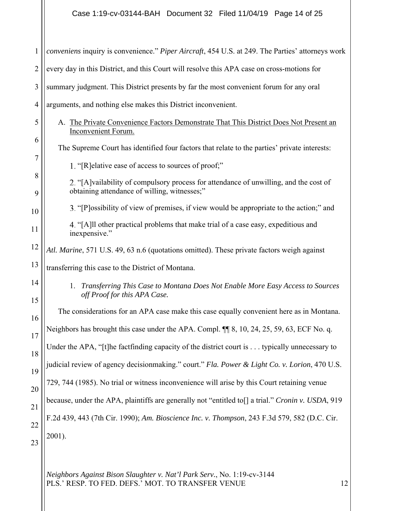| $\mathbf{1}$   | conveniens inquiry is convenience." Piper Aircraft, 454 U.S. at 249. The Parties' attorneys work                                       |
|----------------|----------------------------------------------------------------------------------------------------------------------------------------|
| $\overline{2}$ | every day in this District, and this Court will resolve this APA case on cross-motions for                                             |
| 3              | summary judgment. This District presents by far the most convenient forum for any oral                                                 |
| $\overline{4}$ | arguments, and nothing else makes this District inconvenient.                                                                          |
| 5              | A. The Private Convenience Factors Demonstrate That This District Does Not Present an<br><b>Inconvenient Forum.</b>                    |
| 6<br>7         | The Supreme Court has identified four factors that relate to the parties' private interests:                                           |
|                | 1. "[R] elative ease of access to sources of proof;"                                                                                   |
| 8<br>9         | 2. "[A] vailability of compulsory process for attendance of unwilling, and the cost of<br>obtaining attendance of willing, witnesses;" |
| 10             | 3. "[P] ossibility of view of premises, if view would be appropriate to the action;" and                                               |
| 11             | 4. "[A] 11 other practical problems that make trial of a case easy, expeditious and<br>inexpensive."                                   |
| 12             | Atl. Marine, 571 U.S. 49, 63 n.6 (quotations omitted). These private factors weigh against                                             |
| 13             | transferring this case to the District of Montana.                                                                                     |
| 14<br>15       | 1. Transferring This Case to Montana Does Not Enable More Easy Access to Sources<br>off Proof for this APA Case.                       |
| 16             | The considerations for an APA case make this case equally convenient here as in Montana.                                               |
| 17             | Neighbors has brought this case under the APA. Compl. ¶ 8, 10, 24, 25, 59, 63, ECF No. q.                                              |
| 18             | Under the APA, "[t]he factfinding capacity of the district court is typically unnecessary to                                           |
| 19             | judicial review of agency decisionmaking." court." Fla. Power & Light Co. v. Lorion, 470 U.S.                                          |
| 20             | 729, 744 (1985). No trial or witness inconvenience will arise by this Court retaining venue                                            |
| 21             | because, under the APA, plaintiffs are generally not "entitled to[] a trial." Cronin v. USDA, 919                                      |
| 22             | F.2d 439, 443 (7th Cir. 1990); Am. Bioscience Inc. v. Thompson, 243 F.3d 579, 582 (D.C. Cir.                                           |
| 23             | 2001).                                                                                                                                 |
|                |                                                                                                                                        |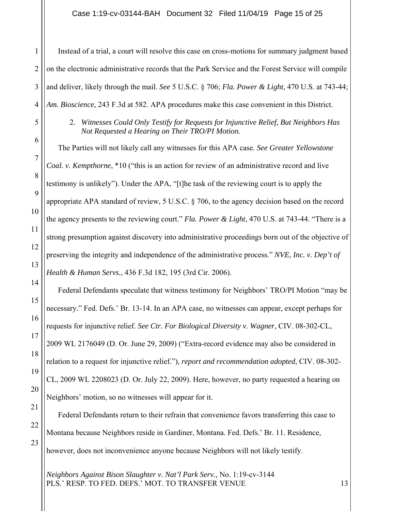# Case 1:19-cv-03144-BAH Document 32 Filed 11/04/19 Page 15 of 25

| 1              | Instead of a trial, a court will resolve this case on cross-motions for summary judgment based                                              |
|----------------|---------------------------------------------------------------------------------------------------------------------------------------------|
| $\overline{2}$ | on the electronic administrative records that the Park Service and the Forest Service will compile                                          |
| 3              | and deliver, likely through the mail. See 5 U.S.C. § 706; Fla. Power & Light, 470 U.S. at 743-44;                                           |
| $\overline{4}$ | Am. Bioscience, 243 F.3d at 582. APA procedures make this case convenient in this District.                                                 |
| 5              | 2.<br>Witnesses Could Only Testify for Requests for Injunctive Relief, But Neighbors Has<br>Not Requested a Hearing on Their TRO/PI Motion. |
| 6              | The Parties will not likely call any witnesses for this APA case. See Greater Yellowstone                                                   |
| $\tau$         | Coal. v. Kempthorne, *10 ("this is an action for review of an administrative record and live                                                |
| 8              | testimony is unlikely"). Under the APA, "[t]he task of the reviewing court is to apply the                                                  |
| 9              | appropriate APA standard of review, 5 U.S.C. § 706, to the agency decision based on the record                                              |
| 10             | the agency presents to the reviewing court." Fla. Power & Light, 470 U.S. at 743-44. "There is a                                            |
| 11             | strong presumption against discovery into administrative proceedings born out of the objective of                                           |
| 12             | preserving the integrity and independence of the administrative process." NVE, Inc. v. Dep't of                                             |
| 13             | Health & Human Servs., 436 F.3d 182, 195 (3rd Cir. 2006).                                                                                   |
| 14             | Federal Defendants speculate that witness testimony for Neighbors' TRO/PI Motion "may be                                                    |
| 15             | necessary." Fed. Defs.' Br. 13-14. In an APA case, no witnesses can appear, except perhaps for                                              |
| 16             | requests for injunctive relief. See Ctr. For Biological Diversity v. Wagner, CIV. 08-302-CL,                                                |
| 17             | 2009 WL 2176049 (D. Or. June 29, 2009) ("Extra-record evidence may also be considered in                                                    |
| 18             | relation to a request for injunctive relief."), report and recommendation adopted, CIV. 08-302-                                             |
| 19             | CL, 2009 WL 2208023 (D. Or. July 22, 2009). Here, however, no party requested a hearing on                                                  |
| 20             | Neighbors' motion, so no witnesses will appear for it.                                                                                      |
| 21<br>22       | Federal Defendants return to their refrain that convenience favors transferring this case to                                                |
| 23             | Montana because Neighbors reside in Gardiner, Montana. Fed. Defs.' Br. 11. Residence,                                                       |
|                | however, does not inconvenience anyone because Neighbors will not likely testify.                                                           |
|                | Neighbors Against Bison Slaughter v. Nat'l Park Serv., No. 1:19-cv-3144                                                                     |

PLS.' RESP. TO FED. DEFS.' MOT. TO TRANSFER VENUE 13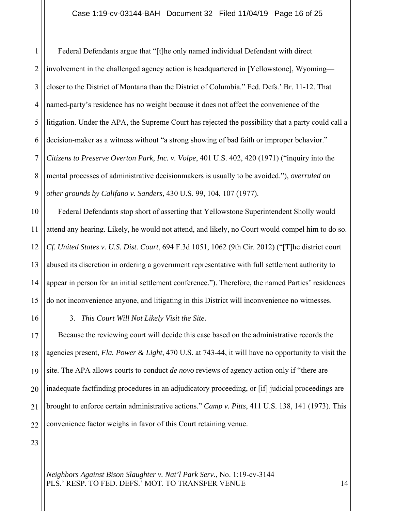## Case 1:19-cv-03144-BAH Document 32 Filed 11/04/19 Page 16 of 25

1 2 3 4 5 6 7 8 9 Federal Defendants argue that "[t]he only named individual Defendant with direct involvement in the challenged agency action is headquartered in [Yellowstone], Wyoming closer to the District of Montana than the District of Columbia." Fed. Defs.' Br. 11-12. That named-party's residence has no weight because it does not affect the convenience of the litigation. Under the APA, the Supreme Court has rejected the possibility that a party could call a decision-maker as a witness without "a strong showing of bad faith or improper behavior." *Citizens to Preserve Overton Park, Inc. v. Volpe*, 401 U.S. 402, 420 (1971) ("inquiry into the mental processes of administrative decisionmakers is usually to be avoided."), *overruled on other grounds by Califano v. Sanders*, 430 U.S. 99, 104, 107 (1977).

10 11 12 13 14 15 Federal Defendants stop short of asserting that Yellowstone Superintendent Sholly would attend any hearing. Likely, he would not attend, and likely, no Court would compel him to do so. *Cf. United States v. U.S. Dist. Court*, 694 F.3d 1051, 1062 (9th Cir. 2012) ("[T]he district court abused its discretion in ordering a government representative with full settlement authority to appear in person for an initial settlement conference."). Therefore, the named Parties' residences do not inconvenience anyone, and litigating in this District will inconvenience no witnesses.

16

3. *This Court Will Not Likely Visit the Site.* 

17 18 19 20 21 22 Because the reviewing court will decide this case based on the administrative records the agencies present, *Fla. Power & Light*, 470 U.S. at 743-44, it will have no opportunity to visit the site. The APA allows courts to conduct *de novo* reviews of agency action only if "there are inadequate factfinding procedures in an adjudicatory proceeding, or [if] judicial proceedings are brought to enforce certain administrative actions." *Camp v. Pitts*, 411 U.S. 138, 141 (1973). This convenience factor weighs in favor of this Court retaining venue.

23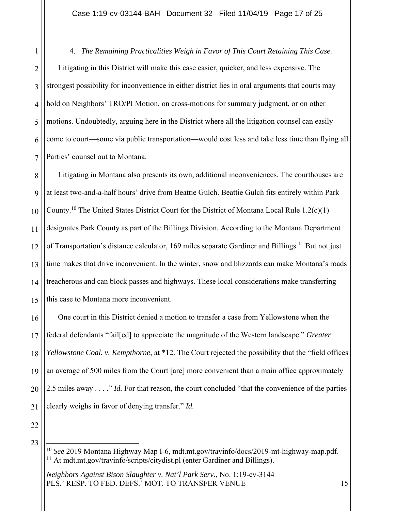1 2 3 4 5 6 7 4. *The Remaining Practicalities Weigh in Favor of This Court Retaining This Case.*  Litigating in this District will make this case easier, quicker, and less expensive. The strongest possibility for inconvenience in either district lies in oral arguments that courts may hold on Neighbors' TRO/PI Motion, on cross-motions for summary judgment, or on other motions. Undoubtedly, arguing here in the District where all the litigation counsel can easily come to court—some via public transportation—would cost less and take less time than flying all Parties' counsel out to Montana.

8  $\overline{Q}$ 10 11 12 13 14 15 Litigating in Montana also presents its own, additional inconveniences. The courthouses are at least two-and-a-half hours' drive from Beattie Gulch. Beattie Gulch fits entirely within Park County.<sup>10</sup> The United States District Court for the District of Montana Local Rule 1.2(c)(1) designates Park County as part of the Billings Division. According to the Montana Department of Transportation's distance calculator, 169 miles separate Gardiner and Billings.<sup>11</sup> But not just time makes that drive inconvenient. In the winter, snow and blizzards can make Montana's roads treacherous and can block passes and highways. These local considerations make transferring this case to Montana more inconvenient.

16 17 18 19 20 21 One court in this District denied a motion to transfer a case from Yellowstone when the federal defendants "fail[ed] to appreciate the magnitude of the Western landscape." *Greater Yellowstone Coal. v. Kempthorne*, at \*12. The Court rejected the possibility that the "field offices an average of 500 miles from the Court [are] more convenient than a main office approximately 2.5 miles away . . . ." *Id.* For that reason, the court concluded "that the convenience of the parties clearly weighs in favor of denying transfer." *Id.*

<sup>10</sup> *See* 2019 Montana Highway Map I-6, mdt.mt.gov/travinfo/docs/2019-mt-highway-map.pdf. <sup>11</sup> At mdt.mt.gov/travinfo/scripts/citydist.pl (enter Gardiner and Billings).

*Neighbors Against Bison Slaughter v. Nat'l Park Serv.*, No. 1:19-cv-3144 PLS.' RESP. TO FED. DEFS.' MOT. TO TRANSFER VENUE 15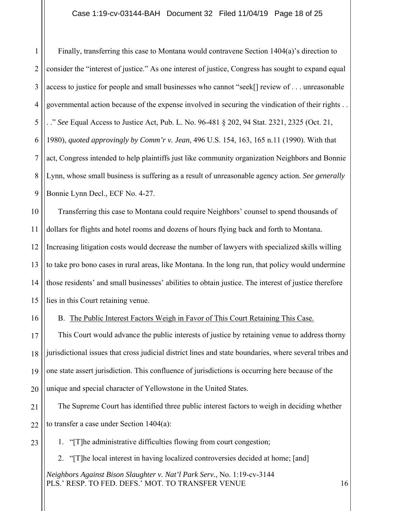## Case 1:19-cv-03144-BAH Document 32 Filed 11/04/19 Page 18 of 25

1 2 3 4 5 6 7 8 9 Finally, transferring this case to Montana would contravene Section 1404(a)'s direction to consider the "interest of justice." As one interest of justice, Congress has sought to expand equal access to justice for people and small businesses who cannot "seek[] review of . . . unreasonable governmental action because of the expense involved in securing the vindication of their rights . . . ." *See* Equal Access to Justice Act, Pub. L. No. 96-481 § 202, 94 Stat. 2321, 2325 (Oct. 21, 1980), *quoted approvingly by Comm'r v. Jean*, 496 U.S. 154, 163, 165 n.11 (1990). With that act, Congress intended to help plaintiffs just like community organization Neighbors and Bonnie Lynn, whose small business is suffering as a result of unreasonable agency action. *See generally*  Bonnie Lynn Decl., ECF No. 4-27.

10 11 12 13 14 15 Transferring this case to Montana could require Neighbors' counsel to spend thousands of dollars for flights and hotel rooms and dozens of hours flying back and forth to Montana. Increasing litigation costs would decrease the number of lawyers with specialized skills willing to take pro bono cases in rural areas, like Montana. In the long run, that policy would undermine those residents' and small businesses' abilities to obtain justice. The interest of justice therefore lies in this Court retaining venue.

B. The Public Interest Factors Weigh in Favor of This Court Retaining This Case.

16

23

17 18 19 20 This Court would advance the public interests of justice by retaining venue to address thorny jurisdictional issues that cross judicial district lines and state boundaries, where several tribes and one state assert jurisdiction. This confluence of jurisdictions is occurring here because of the unique and special character of Yellowstone in the United States.

21 22 The Supreme Court has identified three public interest factors to weigh in deciding whether to transfer a case under Section 1404(a):

1. "[T]he administrative difficulties flowing from court congestion;

2. "[T]he local interest in having localized controversies decided at home; [and]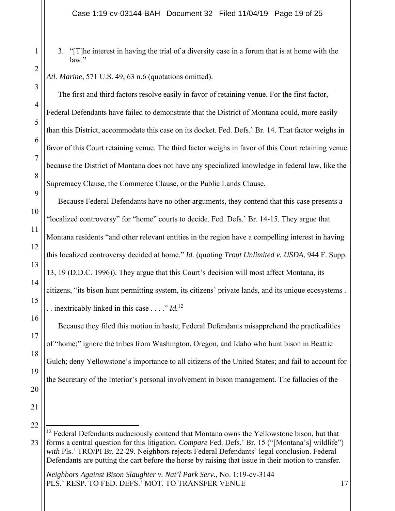3. "[T]he interest in having the trial of a diversity case in a forum that is at home with the law."

*Atl. Marine*, 571 U.S. 49, 63 n.6 (quotations omitted).

The first and third factors resolve easily in favor of retaining venue. For the first factor, Federal Defendants have failed to demonstrate that the District of Montana could, more easily than this District, accommodate this case on its docket. Fed. Defs.' Br. 14. That factor weighs in favor of this Court retaining venue. The third factor weighs in favor of this Court retaining venue because the District of Montana does not have any specialized knowledge in federal law, like the Supremacy Clause, the Commerce Clause, or the Public Lands Clause.

Because Federal Defendants have no other arguments, they contend that this case presents a "localized controversy" for "home" courts to decide. Fed. Defs.' Br. 14-15. They argue that Montana residents "and other relevant entities in the region have a compelling interest in having this localized controversy decided at home." *Id.* (quoting *Trout Unlimited v. USDA*, 944 F. Supp. 13, 19 (D.D.C. 1996)). They argue that this Court's decision will most affect Montana, its citizens, "its bison hunt permitting system, its citizens' private lands, and its unique ecosystems . . . inextricably linked in this case . . . ." *Id.*12

Because they filed this motion in haste, Federal Defendants misapprehend the practicalities of "home;" ignore the tribes from Washington, Oregon, and Idaho who hunt bison in Beattie Gulch; deny Yellowstone's importance to all citizens of the United States; and fail to account for the Secretary of the Interior's personal involvement in bison management. The fallacies of the

21 22

17

18

19

20

<sup>23</sup>  $12$  Federal Defendants audaciously contend that Montana owns the Yellowstone bison, but that forms a central question for this litigation. *Compare* Fed. Defs.' Br. 15 ("[Montana's] wildlife") *with* Pls.' TRO/PI Br. 22-29. Neighbors rejects Federal Defendants' legal conclusion. Federal Defendants are putting the cart before the horse by raising that issue in their motion to transfer.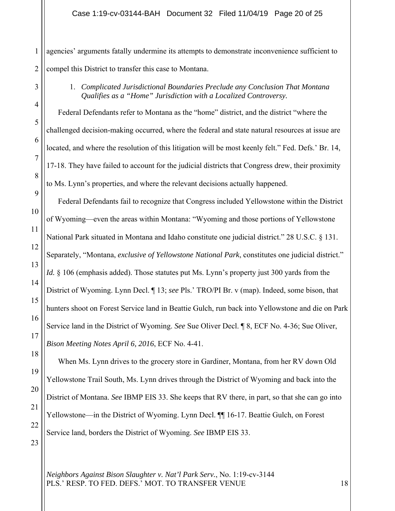1 2 agencies' arguments fatally undermine its attempts to demonstrate inconvenience sufficient to compel this District to transfer this case to Montana.

3

4

5

6

7

8

9

18

19

20

21

22

23

1. *Complicated Jurisdictional Boundaries Preclude any Conclusion That Montana Qualifies as a "Home" Jurisdiction with a Localized Controversy.* 

 Federal Defendants refer to Montana as the "home" district, and the district "where the challenged decision-making occurred, where the federal and state natural resources at issue are located, and where the resolution of this litigation will be most keenly felt." Fed. Defs.' Br. 14, 17-18. They have failed to account for the judicial districts that Congress drew, their proximity to Ms. Lynn's properties, and where the relevant decisions actually happened.

10 11 12 13 14 15 16 17 Federal Defendants fail to recognize that Congress included Yellowstone within the District of Wyoming—even the areas within Montana: "Wyoming and those portions of Yellowstone National Park situated in Montana and Idaho constitute one judicial district." 28 U.S.C. § 131. Separately, "Montana, *exclusive of Yellowstone National Park*, constitutes one judicial district." Id. § 106 (emphasis added). Those statutes put Ms. Lynn's property just 300 yards from the District of Wyoming. Lynn Decl. ¶ 13; *see* Pls.' TRO/PI Br. v (map). Indeed, some bison, that hunters shoot on Forest Service land in Beattie Gulch, run back into Yellowstone and die on Park Service land in the District of Wyoming. *See* Sue Oliver Decl. ¶ 8, ECF No. 4-36; Sue Oliver, *Bison Meeting Notes April 6, 2016*, ECF No. 4-41.

When Ms. Lynn drives to the grocery store in Gardiner, Montana, from her RV down Old Yellowstone Trail South, Ms. Lynn drives through the District of Wyoming and back into the District of Montana. *See* IBMP EIS 33. She keeps that RV there, in part, so that she can go into Yellowstone—in the District of Wyoming. Lynn Decl. ¶¶ 16-17. Beattie Gulch, on Forest Service land, borders the District of Wyoming. *See* IBMP EIS 33.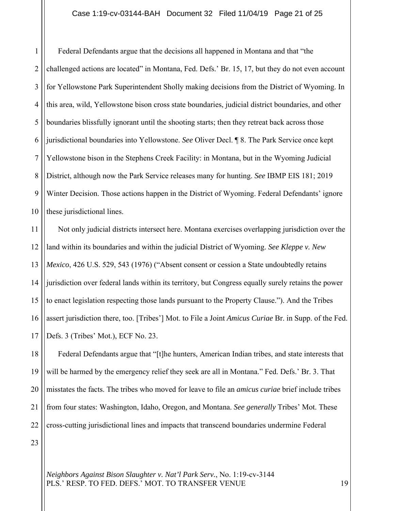### Case 1:19-cv-03144-BAH Document 32 Filed 11/04/19 Page 21 of 25

1 2 3 4 5 6 7 8 9 10 Federal Defendants argue that the decisions all happened in Montana and that "the challenged actions are located" in Montana, Fed. Defs.' Br. 15, 17, but they do not even account for Yellowstone Park Superintendent Sholly making decisions from the District of Wyoming. In this area, wild, Yellowstone bison cross state boundaries, judicial district boundaries, and other boundaries blissfully ignorant until the shooting starts; then they retreat back across those jurisdictional boundaries into Yellowstone. *See* Oliver Decl. ¶ 8. The Park Service once kept Yellowstone bison in the Stephens Creek Facility: in Montana, but in the Wyoming Judicial District, although now the Park Service releases many for hunting. *See* IBMP EIS 181; 2019 Winter Decision. Those actions happen in the District of Wyoming. Federal Defendants' ignore these jurisdictional lines.

11 12 13 14 15 16 17 Not only judicial districts intersect here. Montana exercises overlapping jurisdiction over the land within its boundaries and within the judicial District of Wyoming. *See Kleppe v. New Mexico*, 426 U.S. 529, 543 (1976) ("Absent consent or cession a State undoubtedly retains jurisdiction over federal lands within its territory, but Congress equally surely retains the power to enact legislation respecting those lands pursuant to the Property Clause."). And the Tribes assert jurisdiction there, too. [Tribes'] Mot. to File a Joint *Amicus Curiae* Br. in Supp. of the Fed. Defs. 3 (Tribes' Mot.), ECF No. 23.

18 19 20 21 22 Federal Defendants argue that "[t]he hunters, American Indian tribes, and state interests that will be harmed by the emergency relief they seek are all in Montana." Fed. Defs.' Br. 3. That misstates the facts. The tribes who moved for leave to file an *amicus curiae* brief include tribes from four states: Washington, Idaho, Oregon, and Montana. *See generally* Tribes' Mot. These cross-cutting jurisdictional lines and impacts that transcend boundaries undermine Federal

23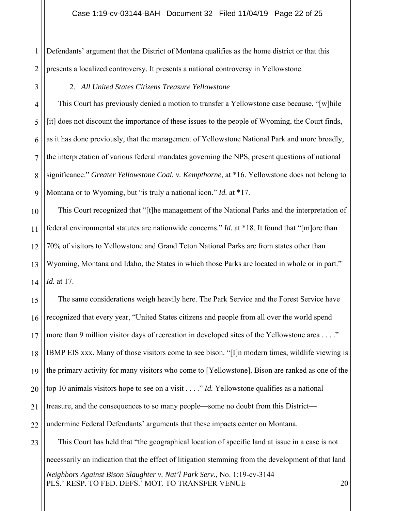## Case 1:19-cv-03144-BAH Document 32 Filed 11/04/19 Page 22 of 25

1 2 Defendants' argument that the District of Montana qualifies as the home district or that this presents a localized controversy. It presents a national controversy in Yellowstone.

3

## 2. *All United States Citizens Treasure Yellowstone*

4 5 6 7 8  $\overline{Q}$ This Court has previously denied a motion to transfer a Yellowstone case because, "[w]hile [it] does not discount the importance of these issues to the people of Wyoming, the Court finds, as it has done previously, that the management of Yellowstone National Park and more broadly, the interpretation of various federal mandates governing the NPS, present questions of national significance." *Greater Yellowstone Coal. v. Kempthorne*, at \*16. Yellowstone does not belong to Montana or to Wyoming, but "is truly a national icon." *Id.* at \*17.

10 11 12 13 14 This Court recognized that "[t]he management of the National Parks and the interpretation of federal environmental statutes are nationwide concerns." *Id.* at \*18. It found that "[m]ore than 70% of visitors to Yellowstone and Grand Teton National Parks are from states other than Wyoming, Montana and Idaho, the States in which those Parks are located in whole or in part." *Id.* at 17.

15 16 17 18 19 20 21 22 The same considerations weigh heavily here. The Park Service and the Forest Service have recognized that every year, "United States citizens and people from all over the world spend more than 9 million visitor days of recreation in developed sites of the Yellowstone area . . . ." IBMP EIS xxx. Many of those visitors come to see bison. "[I]n modern times, wildlife viewing is the primary activity for many visitors who come to [Yellowstone]. Bison are ranked as one of the top 10 animals visitors hope to see on a visit . . . ." *Id.* Yellowstone qualifies as a national treasure, and the consequences to so many people—some no doubt from this District undermine Federal Defendants' arguments that these impacts center on Montana.

23 *Neighbors Against Bison Slaughter v. Nat'l Park Serv.*, No. 1:19-cv-3144 PLS.' RESP. TO FED. DEFS.' MOT. TO TRANSFER VENUE 20 This Court has held that "the geographical location of specific land at issue in a case is not necessarily an indication that the effect of litigation stemming from the development of that land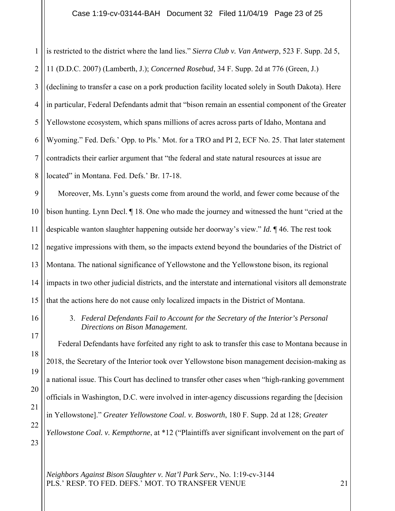1 2 3 4 5 6 7 8 is restricted to the district where the land lies." *Sierra Club v. Van Antwerp*, 523 F. Supp. 2d 5, 11 (D.D.C. 2007) (Lamberth, J.); *Concerned Rosebud*, 34 F. Supp. 2d at 776 (Green, J.) (declining to transfer a case on a pork production facility located solely in South Dakota). Here in particular, Federal Defendants admit that "bison remain an essential component of the Greater Yellowstone ecosystem, which spans millions of acres across parts of Idaho, Montana and Wyoming." Fed. Defs.' Opp. to Pls.' Mot. for a TRO and PI 2, ECF No. 25. That later statement contradicts their earlier argument that "the federal and state natural resources at issue are located" in Montana. Fed. Defs.' Br. 17-18.

9 10 11 12 13 14 15 Moreover, Ms. Lynn's guests come from around the world, and fewer come because of the bison hunting. Lynn Decl. ¶ 18. One who made the journey and witnessed the hunt "cried at the despicable wanton slaughter happening outside her doorway's view." *Id.* ¶ 46. The rest took negative impressions with them, so the impacts extend beyond the boundaries of the District of Montana. The national significance of Yellowstone and the Yellowstone bison, its regional impacts in two other judicial districts, and the interstate and international visitors all demonstrate that the actions here do not cause only localized impacts in the District of Montana.

> 3. *Federal Defendants Fail to Account for the Secretary of the Interior's Personal Directions on Bison Management.*

17 18 19 20 21 22 23 Federal Defendants have forfeited any right to ask to transfer this case to Montana because in 2018, the Secretary of the Interior took over Yellowstone bison management decision-making as a national issue. This Court has declined to transfer other cases when "high-ranking government officials in Washington, D.C. were involved in inter-agency discussions regarding the [decision in Yellowstone]." *Greater Yellowstone Coal. v. Bosworth*, 180 F. Supp. 2d at 128; *Greater Yellowstone Coal. v. Kempthorne*, at \*12 ("Plaintiffs aver significant involvement on the part of

*Neighbors Against Bison Slaughter v. Nat'l Park Serv.*, No. 1:19-cv-3144 PLS.' RESP. TO FED. DEFS.' MOT. TO TRANSFER VENUE 21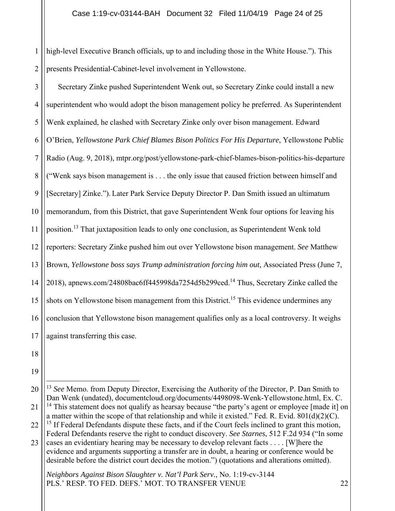1 2 high-level Executive Branch officials, up to and including those in the White House."). This presents Presidential-Cabinet-level involvement in Yellowstone.

3 4 5 6 7 8 9 10 11 12 13 14 15 16 17 Secretary Zinke pushed Superintendent Wenk out, so Secretary Zinke could install a new superintendent who would adopt the bison management policy he preferred. As Superintendent Wenk explained, he clashed with Secretary Zinke only over bison management. Edward O'Brien, *Yellowstone Park Chief Blames Bison Politics For His Departure*, Yellowstone Public Radio (Aug. 9, 2018), mtpr.org/post/yellowstone-park-chief-blames-bison-politics-his-departure ("Wenk says bison management is . . . the only issue that caused friction between himself and [Secretary] Zinke."). Later Park Service Deputy Director P. Dan Smith issued an ultimatum memorandum, from this District, that gave Superintendent Wenk four options for leaving his position.<sup>13</sup> That juxtaposition leads to only one conclusion, as Superintendent Wenk told reporters: Secretary Zinke pushed him out over Yellowstone bison management. *See* Matthew Brown, *Yellowstone boss says Trump administration forcing him out*, Associated Press (June 7, 2018), apnews.com/24808bac6ff445998da7254d5b299ced.14 Thus, Secretary Zinke called the shots on Yellowstone bison management from this District.<sup>15</sup> This evidence undermines any conclusion that Yellowstone bison management qualifies only as a local controversy. It weighs against transferring this case.

- 18
- 19
- 20 21 22 23 <sup>13</sup> See Memo. from Deputy Director, Exercising the Authority of the Director, P. Dan Smith to Dan Wenk (undated), documentcloud.org/documents/4498098-Wenk-Yellowstone.html, Ex. C. <sup>14</sup> This statement does not qualify as hearsay because "the party's agent or employee [made it] on a matter within the scope of that relationship and while it existed." Fed. R. Evid.  $801(d)(2)(C)$ . <sup>15</sup> If Federal Defendants dispute these facts, and if the Court feels inclined to grant this motion, Federal Defendants reserve the right to conduct discovery. *See Starnes*, 512 F.2d 934 ("In some cases an evidentiary hearing may be necessary to develop relevant facts . . . . [W]here the evidence and arguments supporting a transfer are in doubt, a hearing or conference would be desirable before the district court decides the motion.") (quotations and alterations omitted).